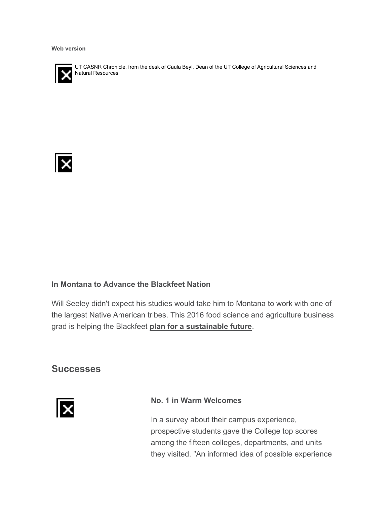**Web version**



UT CASNR Chronicle, from the desk of Caula Beyl, Dean of the UT College of Agricultural Sciences and Natural Resources



#### **In Montana to Advance the Blackfeet Nation**

Will Seeley didn't expect his studies would take him to Montana to work with one of the largest Native American tribes. This 2016 food science and agriculture business grad is helping the Blackfeet **plan for a sustainable future**.

#### **Successes**



#### **No. 1 in Warm Welcomes**

In a survey about their campus experience, prospective students gave the College top scores among the fifteen colleges, departments, and units they visited. "An informed idea of possible experience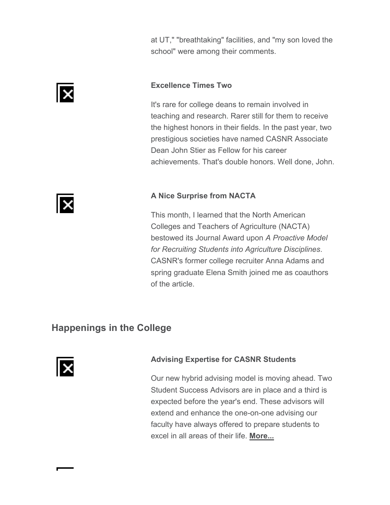at UT," "breathtaking" facilities, and "my son loved the school" were among their comments.

#### **Excellence Times Two**

It's rare for college deans to remain involved in teaching and research. Rarer still for them to receive the highest honors in their fields. In the past year, two prestigious societies have named CASNR Associate Dean John Stier as Fellow for his career achievements. That's double honors. Well done, John.

#### **A Nice Surprise from NACTA**

This month, I learned that the North American Colleges and Teachers of Agriculture (NACTA) bestowed its Journal Award upon *A Proactive Model for Recruiting Students into Agriculture Disciplines*. CASNR's former college recruiter Anna Adams and spring graduate Elena Smith joined me as coauthors of the article.

## **Happenings in the College**



#### **Advising Expertise for CASNR Students**

Our new hybrid advising model is moving ahead. Two Student Success Advisors are in place and a third is expected before the year's end. These advisors will extend and enhance the one-on-one advising our faculty have always offered to prepare students to excel in all areas of their life. **More...**



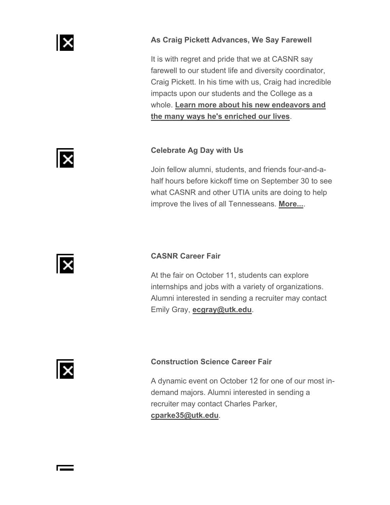

#### **As Craig Pickett Advances, We Say Farewell**

It is with regret and pride that we at CASNR say farewell to our student life and diversity coordinator, Craig Pickett. In his time with us, Craig had incredible impacts upon our students and the College as a whole. **Learn more about his new endeavors and the many ways he's enriched our lives**.

#### **Celebrate Ag Day with Us**

Join fellow alumni, students, and friends four-and-ahalf hours before kickoff time on September 30 to see what CASNR and other UTIA units are doing to help improve the lives of all Tennesseans. **More...**.



lx

#### **CASNR Career Fair**

At the fair on October 11, students can explore internships and jobs with a variety of organizations. Alumni interested in sending a recruiter may contact Emily Gray, **ecgray@utk.edu**.



 $\overline{\phantom{a}}$ 

#### **Construction Science Career Fair**

A dynamic event on October 12 for one of our most indemand majors. Alumni interested in sending a recruiter may contact Charles Parker, **cparke35@utk.edu**.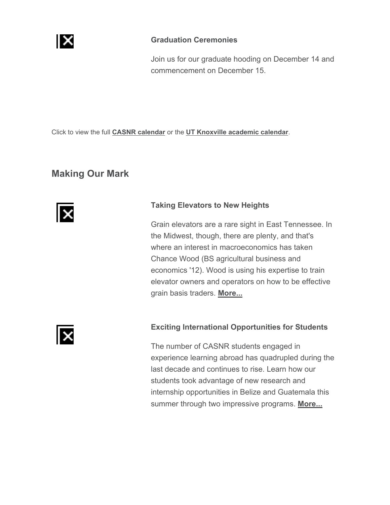

#### **Graduation Ceremonies**

Join us for our graduate hooding on December 14 and commencement on December 15.

Click to view the full **CASNR calendar** or the **UT Knoxville academic calendar**.

### **Making Our Mark**



#### **Taking Elevators to New Heights**

Grain elevators are a rare sight in East Tennessee. In the Midwest, though, there are plenty, and that's where an interest in macroeconomics has taken Chance Wood (BS agricultural business and economics '12). Wood is using his expertise to train elevator owners and operators on how to be effective grain basis traders. **More...**



#### **Exciting International Opportunities for Students**

The number of CASNR students engaged in experience learning abroad has quadrupled during the last decade and continues to rise. Learn how our students took advantage of new research and internship opportunities in Belize and Guatemala this summer through two impressive programs. **More...**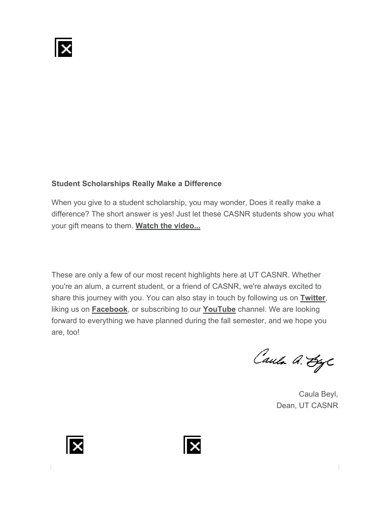

#### **Student Scholarships Really Make a Difference**

When you give to a student scholarship, you may wonder, Does it really make a difference? The short answer is yes! Just let these CASNR students show you what your gift means to them. **Watch the video...**

These are only a few of our most recent highlights here at UT CASNR. Whether you're an alum, a current student, or a friend of CASNR, we're always excited to share this journey with you. You can also stay in touch by following us on **Twitter**, liking us on **Facebook**, or subscribing to our **YouTube** channel. We are looking forward to everything we have planned during the fall semester, and we hope you are, too!

Caula A. Ege

Caula Beyl, Dean, UT CASNR